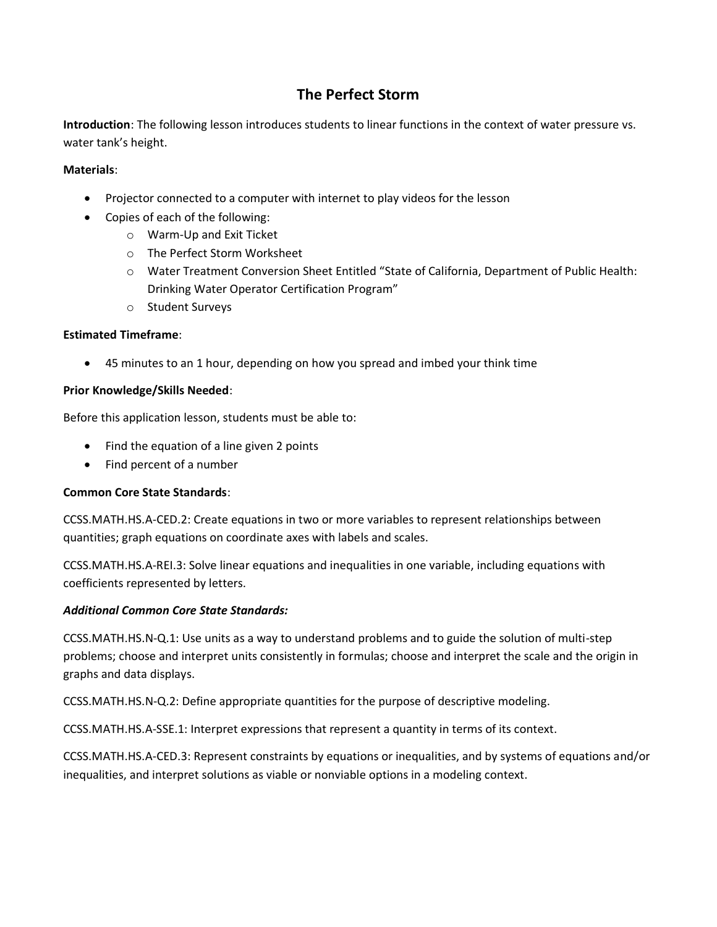# **The Perfect Storm**

**Introduction**: The following lesson introduces students to linear functions in the context of water pressure vs. water tank's height.

### **Materials**:

- Projector connected to a computer with internet to play videos for the lesson
- Copies of each of the following:
	- o Warm-Up and Exit Ticket
	- o The Perfect Storm Worksheet
	- o Water Treatment Conversion Sheet Entitled "State of California, Department of Public Health: Drinking Water Operator Certification Program"
	- o Student Surveys

#### **Estimated Timeframe**:

45 minutes to an 1 hour, depending on how you spread and imbed your think time

#### **Prior Knowledge/Skills Needed**:

Before this application lesson, students must be able to:

- Find the equation of a line given 2 points
- Find percent of a number

#### **Common Core State Standards**:

CCSS.MATH.HS.A-CED.2: Create equations in two or more variables to represent relationships between quantities; graph equations on coordinate axes with labels and scales.

CCSS.MATH.HS.A-REI.3: Solve linear equations and inequalities in one variable, including equations with coefficients represented by letters.

#### *Additional Common Core State Standards:*

CCSS.MATH.HS.N-Q.1: Use units as a way to understand problems and to guide the solution of multi-step problems; choose and interpret units consistently in formulas; choose and interpret the scale and the origin in graphs and data displays.

CCSS.MATH.HS.N-Q.2: Define appropriate quantities for the purpose of descriptive modeling.

CCSS.MATH.HS.A-SSE.1: Interpret expressions that represent a quantity in terms of its context.

CCSS.MATH.HS.A-CED.3: Represent constraints by equations or inequalities, and by systems of equations and/or inequalities, and interpret solutions as viable or nonviable options in a modeling context.